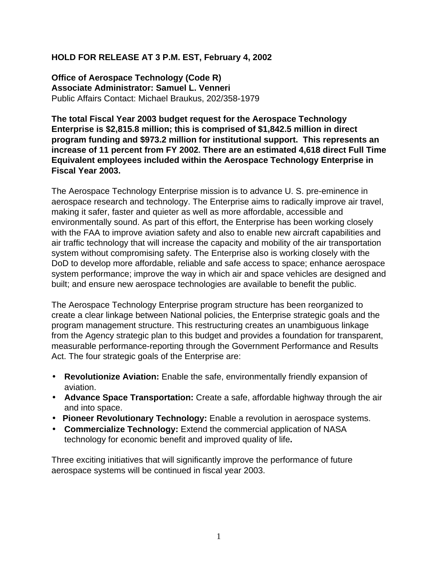#### **HOLD FOR RELEASE AT 3 P.M. EST, February 4, 2002**

**Office of Aerospace Technology (Code R) Associate Administrator: Samuel L. Venneri** Public Affairs Contact: Michael Braukus, 202/358-1979

**The total Fiscal Year 2003 budget request for the Aerospace Technology Enterprise is \$2,815.8 million; this is comprised of \$1,842.5 million in direct program funding and \$973.2 million for institutional support. This represents an increase of 11 percent from FY 2002. There are an estimated 4,618 direct Full Time Equivalent employees included within the Aerospace Technology Enterprise in Fiscal Year 2003.**

The Aerospace Technology Enterprise mission is to advance U. S. pre-eminence in aerospace research and technology. The Enterprise aims to radically improve air travel, making it safer, faster and quieter as well as more affordable, accessible and environmentally sound. As part of this effort, the Enterprise has been working closely with the FAA to improve aviation safety and also to enable new aircraft capabilities and air traffic technology that will increase the capacity and mobility of the air transportation system without compromising safety. The Enterprise also is working closely with the DoD to develop more affordable, reliable and safe access to space; enhance aerospace system performance; improve the way in which air and space vehicles are designed and built; and ensure new aerospace technologies are available to benefit the public.

The Aerospace Technology Enterprise program structure has been reorganized to create a clear linkage between National policies, the Enterprise strategic goals and the program management structure. This restructuring creates an unambiguous linkage from the Agency strategic plan to this budget and provides a foundation for transparent, measurable performance-reporting through the Government Performance and Results Act. The four strategic goals of the Enterprise are:

- **Revolutionize Aviation:** Enable the safe, environmentally friendly expansion of aviation.
- **Advance Space Transportation:** Create a safe, affordable highway through the air and into space.
- • **Pioneer Revolutionary Technology:** Enable a revolution in aerospace systems.
- **Commercialize Technology:** Extend the commercial application of NASA technology for economic benefit and improved quality of life**.**

Three exciting initiatives that will significantly improve the performance of future aerospace systems will be continued in fiscal year 2003.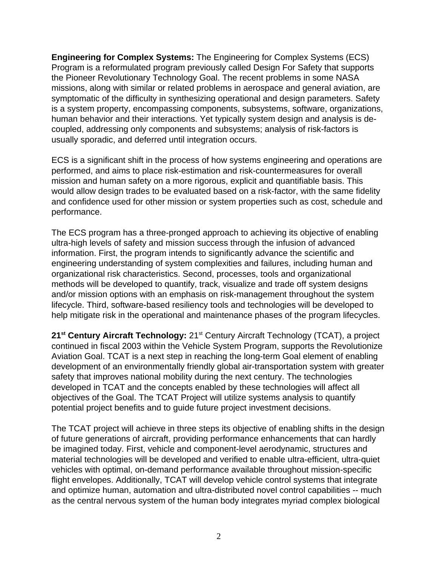**Engineering for Complex Systems:** The Engineering for Complex Systems (ECS) Program is a reformulated program previously called Design For Safety that supports the Pioneer Revolutionary Technology Goal. The recent problems in some NASA missions, along with similar or related problems in aerospace and general aviation, are symptomatic of the difficulty in synthesizing operational and design parameters. Safety is a system property, encompassing components, subsystems, software, organizations, human behavior and their interactions. Yet typically system design and analysis is decoupled, addressing only components and subsystems; analysis of risk-factors is usually sporadic, and deferred until integration occurs.

ECS is a significant shift in the process of how systems engineering and operations are performed, and aims to place risk-estimation and risk-countermeasures for overall mission and human safety on a more rigorous, explicit and quantifiable basis. This would allow design trades to be evaluated based on a risk-factor, with the same fidelity and confidence used for other mission or system properties such as cost, schedule and performance.

The ECS program has a three-pronged approach to achieving its objective of enabling ultra-high levels of safety and mission success through the infusion of advanced information. First, the program intends to significantly advance the scientific and engineering understanding of system complexities and failures, including human and organizational risk characteristics. Second, processes, tools and organizational methods will be developed to quantify, track, visualize and trade off system designs and/or mission options with an emphasis on risk-management throughout the system lifecycle. Third, software-based resiliency tools and technologies will be developed to help mitigate risk in the operational and maintenance phases of the program lifecycles.

21<sup>st</sup> Century Aircraft Technology: 21<sup>st</sup> Century Aircraft Technology (TCAT), a project continued in fiscal 2003 within the Vehicle System Program, supports the Revolutionize Aviation Goal. TCAT is a next step in reaching the long-term Goal element of enabling development of an environmentally friendly global air-transportation system with greater safety that improves national mobility during the next century. The technologies developed in TCAT and the concepts enabled by these technologies will affect all objectives of the Goal. The TCAT Project will utilize systems analysis to quantify potential project benefits and to guide future project investment decisions.

The TCAT project will achieve in three steps its objective of enabling shifts in the design of future generations of aircraft, providing performance enhancements that can hardly be imagined today. First, vehicle and component-level aerodynamic, structures and material technologies will be developed and verified to enable ultra-efficient, ultra-quiet vehicles with optimal, on-demand performance available throughout mission-specific flight envelopes. Additionally, TCAT will develop vehicle control systems that integrate and optimize human, automation and ultra-distributed novel control capabilities -- much as the central nervous system of the human body integrates myriad complex biological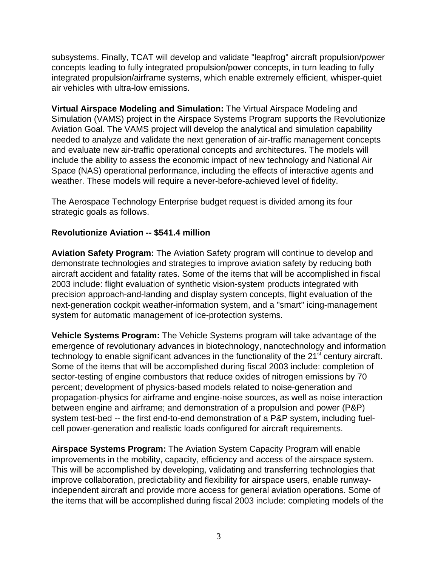subsystems. Finally, TCAT will develop and validate "leapfrog" aircraft propulsion/power concepts leading to fully integrated propulsion/power concepts, in turn leading to fully integrated propulsion/airframe systems, which enable extremely efficient, whisper-quiet air vehicles with ultra-low emissions.

**Virtual Airspace Modeling and Simulation:** The Virtual Airspace Modeling and Simulation (VAMS) project in the Airspace Systems Program supports the Revolutionize Aviation Goal. The VAMS project will develop the analytical and simulation capability needed to analyze and validate the next generation of air-traffic management concepts and evaluate new air-traffic operational concepts and architectures. The models will include the ability to assess the economic impact of new technology and National Air Space (NAS) operational performance, including the effects of interactive agents and weather. These models will require a never-before-achieved level of fidelity.

The Aerospace Technology Enterprise budget request is divided among its four strategic goals as follows.

## **Revolutionize Aviation -- \$541.4 million**

**Aviation Safety Program:** The Aviation Safety program will continue to develop and demonstrate technologies and strategies to improve aviation safety by reducing both aircraft accident and fatality rates. Some of the items that will be accomplished in fiscal 2003 include: flight evaluation of synthetic vision-system products integrated with precision approach-and-landing and display system concepts, flight evaluation of the next-generation cockpit weather-information system, and a "smart" icing-management system for automatic management of ice-protection systems.

**Vehicle Systems Program:** The Vehicle Systems program will take advantage of the emergence of revolutionary advances in biotechnology, nanotechnology and information technology to enable significant advances in the functionality of the 21<sup>st</sup> century aircraft. Some of the items that will be accomplished during fiscal 2003 include: completion of sector-testing of engine combustors that reduce oxides of nitrogen emissions by 70 percent; development of physics-based models related to noise-generation and propagation-physics for airframe and engine-noise sources, as well as noise interaction between engine and airframe; and demonstration of a propulsion and power (P&P) system test-bed -- the first end-to-end demonstration of a P&P system, including fuelcell power-generation and realistic loads configured for aircraft requirements.

**Airspace Systems Program:** The Aviation System Capacity Program will enable improvements in the mobility, capacity, efficiency and access of the airspace system. This will be accomplished by developing, validating and transferring technologies that improve collaboration, predictability and flexibility for airspace users, enable runwayindependent aircraft and provide more access for general aviation operations. Some of the items that will be accomplished during fiscal 2003 include: completing models of the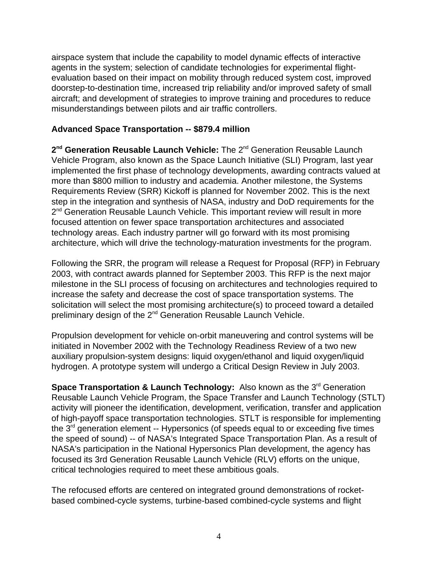airspace system that include the capability to model dynamic effects of interactive agents in the system; selection of candidate technologies for experimental flightevaluation based on their impact on mobility through reduced system cost, improved doorstep-to-destination time, increased trip reliability and/or improved safety of small aircraft; and development of strategies to improve training and procedures to reduce misunderstandings between pilots and air traffic controllers.

### **Advanced Space Transportation -- \$879.4 million**

2<sup>nd</sup> Generation Reusable Launch Vehicle: The 2<sup>nd</sup> Generation Reusable Launch Vehicle Program, also known as the Space Launch Initiative (SLI) Program, last year implemented the first phase of technology developments, awarding contracts valued at more than \$800 million to industry and academia. Another milestone, the Systems Requirements Review (SRR) Kickoff is planned for November 2002. This is the next step in the integration and synthesis of NASA, industry and DoD requirements for the 2<sup>nd</sup> Generation Reusable Launch Vehicle. This important review will result in more focused attention on fewer space transportation architectures and associated technology areas. Each industry partner will go forward with its most promising architecture, which will drive the technology-maturation investments for the program.

Following the SRR, the program will release a Request for Proposal (RFP) in February 2003, with contract awards planned for September 2003. This RFP is the next major milestone in the SLI process of focusing on architectures and technologies required to increase the safety and decrease the cost of space transportation systems. The solicitation will select the most promising architecture(s) to proceed toward a detailed preliminary design of the 2<sup>nd</sup> Generation Reusable Launch Vehicle.

Propulsion development for vehicle on-orbit maneuvering and control systems will be initiated in November 2002 with the Technology Readiness Review of a two new auxiliary propulsion-system designs: liquid oxygen/ethanol and liquid oxygen/liquid hydrogen. A prototype system will undergo a Critical Design Review in July 2003.

**Space Transportation & Launch Technology:** Also known as the 3<sup>rd</sup> Generation Reusable Launch Vehicle Program, the Space Transfer and Launch Technology (STLT) activity will pioneer the identification, development, verification, transfer and application of high-payoff space transportation technologies. STLT is responsible for implementing the  $3<sup>rd</sup>$  generation element -- Hypersonics (of speeds equal to or exceeding five times the speed of sound) -- of NASA's Integrated Space Transportation Plan. As a result of NASA's participation in the National Hypersonics Plan development, the agency has focused its 3rd Generation Reusable Launch Vehicle (RLV) efforts on the unique, critical technologies required to meet these ambitious goals.

The refocused efforts are centered on integrated ground demonstrations of rocketbased combined-cycle systems, turbine-based combined-cycle systems and flight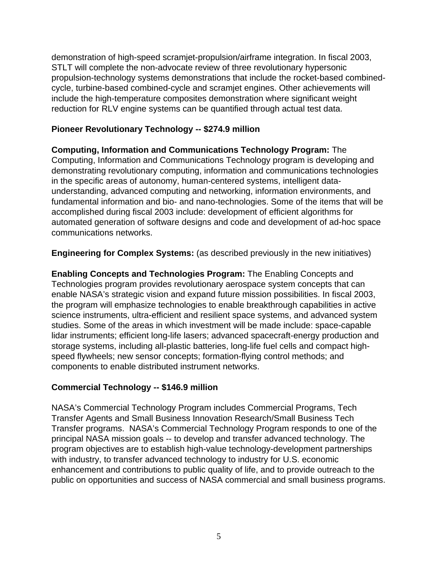demonstration of high-speed scramjet-propulsion/airframe integration. In fiscal 2003, STLT will complete the non-advocate review of three revolutionary hypersonic propulsion-technology systems demonstrations that include the rocket-based combinedcycle, turbine-based combined-cycle and scramjet engines. Other achievements will include the high-temperature composites demonstration where significant weight reduction for RLV engine systems can be quantified through actual test data.

# **Pioneer Revolutionary Technology -- \$274.9 million**

**Computing, Information and Communications Technology Program:** The Computing, Information and Communications Technology program is developing and demonstrating revolutionary computing, information and communications technologies in the specific areas of autonomy, human-centered systems, intelligent dataunderstanding, advanced computing and networking, information environments, and fundamental information and bio- and nano-technologies. Some of the items that will be accomplished during fiscal 2003 include: development of efficient algorithms for automated generation of software designs and code and development of ad-hoc space communications networks.

**Engineering for Complex Systems:** (as described previously in the new initiatives)

**Enabling Concepts and Technologies Program:** The Enabling Concepts and Technologies program provides revolutionary aerospace system concepts that can enable NASA's strategic vision and expand future mission possibilities. In fiscal 2003, the program will emphasize technologies to enable breakthrough capabilities in active science instruments, ultra-efficient and resilient space systems, and advanced system studies. Some of the areas in which investment will be made include: space-capable lidar instruments; efficient long-life lasers; advanced spacecraft-energy production and storage systems, including all-plastic batteries, long-life fuel cells and compact highspeed flywheels; new sensor concepts; formation-flying control methods; and components to enable distributed instrument networks.

## **Commercial Technology -- \$146.9 million**

NASA's Commercial Technology Program includes Commercial Programs, Tech Transfer Agents and Small Business Innovation Research/Small Business Tech Transfer programs. NASA's Commercial Technology Program responds to one of the principal NASA mission goals -- to develop and transfer advanced technology. The program objectives are to establish high-value technology-development partnerships with industry, to transfer advanced technology to industry for U.S. economic enhancement and contributions to public quality of life, and to provide outreach to the public on opportunities and success of NASA commercial and small business programs.